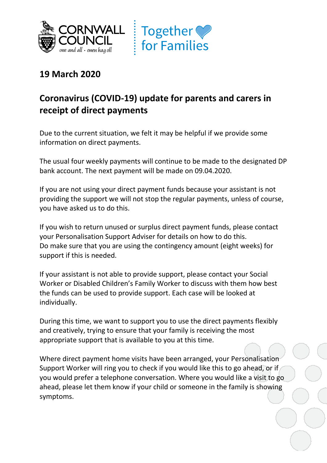



## **19 March 2020**

## **Coronavirus (COVID-19) update for parents and carers in receipt of direct payments**

Due to the current situation, we felt it may be helpful if we provide some information on direct payments.

The usual four weekly payments will continue to be made to the designated DP bank account. The next payment will be made on 09.04.2020.

If you are not using your direct payment funds because your assistant is not providing the support we will not stop the regular payments, unless of course, you have asked us to do this.

If you wish to return unused or surplus direct payment funds, please contact your Personalisation Support Adviser for details on how to do this. Do make sure that you are using the contingency amount (eight weeks) for support if this is needed.

If your assistant is not able to provide support, please contact your Social Worker or Disabled Children's Family Worker to discuss with them how best the funds can be used to provide support. Each case will be looked at individually.

During this time, we want to support you to use the direct payments flexibly and creatively, trying to ensure that your family is receiving the most appropriate support that is available to you at this time.

Where direct payment home visits have been arranged, your Personalisation Support Worker will ring you to check if you would like this to go ahead, or if you would prefer a telephone conversation. Where you would like a visit to go ahead, please let them know if your child or someone in the family is showing symptoms.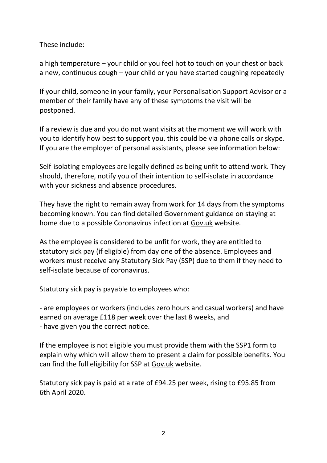These include:

a high temperature – your child or you feel hot to touch on your chest or back a new, continuous cough – your child or you have started coughing repeatedly

If your child, someone in your family, your Personalisation Support Advisor or a member of their family have any of these symptoms the visit will be postponed.

If a review is due and you do not want visits at the moment we will work with you to identify how best to support you, this could be via phone calls or skype. If you are the employer of personal assistants, please see information below:

Self-isolating employees are legally defined as being unfit to attend work. They should, therefore, notify you of their intention to self-isolate in accordance with your sickness and absence procedures.

They have the right to remain away from work for 14 days from the symptoms becoming known. You can find detailed Government guidance on staying at home due to a possible Coronavirus infection at [Gov.uk](https://www.gov.uk/government/publications/covid-19-stay-at-home-guidance) website.

As the employee is considered to be unfit for work, they are entitled to statutory sick pay (if eligible) from day one of the absence. Employees and workers must receive any Statutory Sick Pay (SSP) due to them if they need to self-isolate because of coronavirus.

Statutory sick pay is payable to employees who:

- are employees or workers (includes zero hours and casual workers) and have earned on average £118 per week over the last 8 weeks, and - have given you the correct notice.

If the employee is not eligible you must provide them with the SSP1 form to explain why which will allow them to present a claim for possible benefits. You can find the full eligibility for SSP at [Gov.uk](https://www.gov.uk/statutory-sick-pay/eligibility) website[.](https://www.gov.uk/statutory-sick-pay/eligibility)

Statutory sick pay is paid at a rate of £94.25 per week, rising to £95.85 from 6th April 2020.